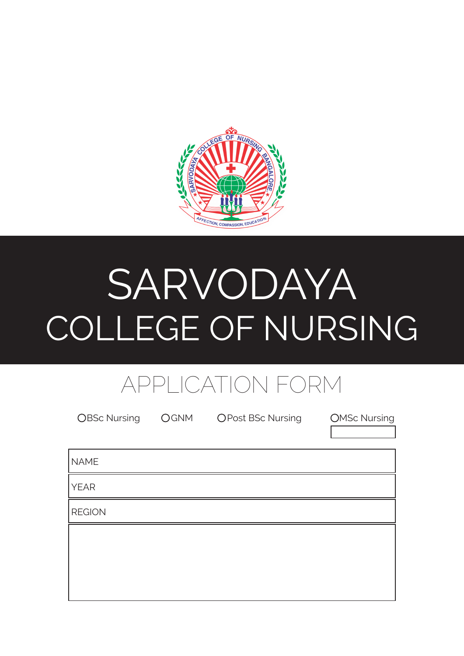

# SARVODAYA COLLEGE OF NURSING

# APPLICATION FORM

| <b>OBSc Nursing</b> | OGNM | <b>OPost BSc Nursing</b> | <b>OMSc Nursing</b> |
|---------------------|------|--------------------------|---------------------|
| <b>NAME</b>         |      |                          |                     |
| <b>YEAR</b>         |      |                          |                     |
| <b>REGION</b>       |      |                          |                     |
|                     |      |                          |                     |
|                     |      |                          |                     |
|                     |      |                          |                     |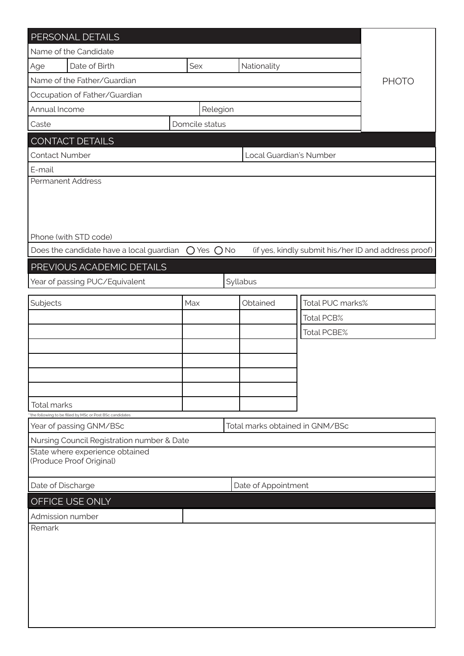| PERSONAL DETAILS                                                                            |                |          |                     |                  |                                                      |  |  |  |
|---------------------------------------------------------------------------------------------|----------------|----------|---------------------|------------------|------------------------------------------------------|--|--|--|
| Name of the Candidate                                                                       |                |          |                     |                  |                                                      |  |  |  |
| Date of Birth<br>Age                                                                        | Sex            |          | Nationality         |                  |                                                      |  |  |  |
| Name of the Father/Guardian                                                                 |                |          |                     |                  | <b>PHOTO</b>                                         |  |  |  |
| Occupation of Father/Guardian                                                               |                |          |                     |                  |                                                      |  |  |  |
| Annual Income                                                                               | Relegion       |          |                     |                  |                                                      |  |  |  |
| Caste                                                                                       | Domcile status |          |                     |                  |                                                      |  |  |  |
| <b>CONTACT DETAILS</b>                                                                      |                |          |                     |                  |                                                      |  |  |  |
| <b>Contact Number</b><br>Local Guardian's Number                                            |                |          |                     |                  |                                                      |  |  |  |
| E-mail                                                                                      |                |          |                     |                  |                                                      |  |  |  |
| Permanent Address                                                                           |                |          |                     |                  |                                                      |  |  |  |
|                                                                                             |                |          |                     |                  |                                                      |  |  |  |
|                                                                                             |                |          |                     |                  |                                                      |  |  |  |
|                                                                                             |                |          |                     |                  |                                                      |  |  |  |
| Phone (with STD code)                                                                       |                |          |                     |                  |                                                      |  |  |  |
| Does the candidate have a local guardian                                                    | $O$ Yes $O$ No |          |                     |                  | (if yes, kindly submit his/her ID and address proof) |  |  |  |
| PREVIOUS ACADEMIC DETAILS                                                                   |                |          |                     |                  |                                                      |  |  |  |
| Year of passing PUC/Equivalent                                                              |                | Syllabus |                     |                  |                                                      |  |  |  |
|                                                                                             |                |          |                     |                  |                                                      |  |  |  |
| Subjects                                                                                    | Max            |          | Obtained            | Total PUC marks% |                                                      |  |  |  |
|                                                                                             |                |          |                     | Total PCB%       |                                                      |  |  |  |
|                                                                                             |                |          |                     | Total PCBE%      |                                                      |  |  |  |
|                                                                                             |                |          |                     |                  |                                                      |  |  |  |
|                                                                                             |                |          |                     |                  |                                                      |  |  |  |
|                                                                                             |                |          |                     |                  |                                                      |  |  |  |
|                                                                                             |                |          |                     |                  |                                                      |  |  |  |
| Total marks                                                                                 |                |          |                     |                  |                                                      |  |  |  |
| the following to be filled by MSc or Post BSc candidates<br>Total marks obtained in GNM/BSc |                |          |                     |                  |                                                      |  |  |  |
| Year of passing GNM/BSc                                                                     |                |          |                     |                  |                                                      |  |  |  |
| Nursing Council Registration number & Date<br>State where experience obtained               |                |          |                     |                  |                                                      |  |  |  |
| (Produce Proof Original)                                                                    |                |          |                     |                  |                                                      |  |  |  |
|                                                                                             |                |          |                     |                  |                                                      |  |  |  |
| Date of Discharge                                                                           |                |          | Date of Appointment |                  |                                                      |  |  |  |
| OFFICE USE ONLY                                                                             |                |          |                     |                  |                                                      |  |  |  |
| Admission number                                                                            |                |          |                     |                  |                                                      |  |  |  |
| Remark                                                                                      |                |          |                     |                  |                                                      |  |  |  |
|                                                                                             |                |          |                     |                  |                                                      |  |  |  |
|                                                                                             |                |          |                     |                  |                                                      |  |  |  |
|                                                                                             |                |          |                     |                  |                                                      |  |  |  |
|                                                                                             |                |          |                     |                  |                                                      |  |  |  |
|                                                                                             |                |          |                     |                  |                                                      |  |  |  |
|                                                                                             |                |          |                     |                  |                                                      |  |  |  |
|                                                                                             |                |          |                     |                  |                                                      |  |  |  |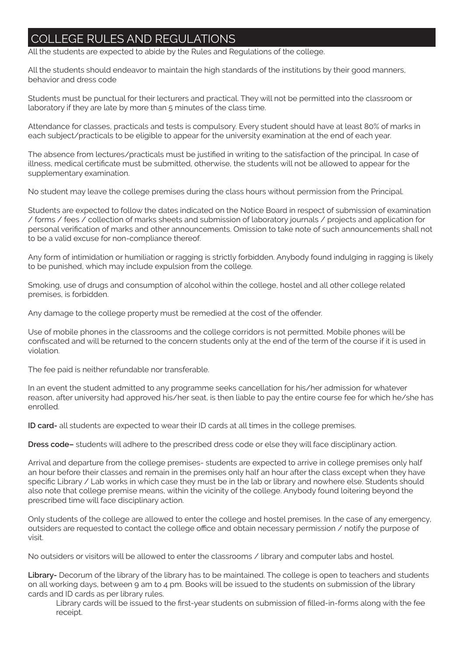## **EGE RULES AND REGULATIONS**

All the students are expected to abide by the Rules and Regulations of the college.

All the students should endeavor to maintain the high standards of the institutions by their good manners, behavior and dress code

Students must be punctual for their lecturers and practical. They will not be permitted into the classroom or laboratory if they are late by more than 5 minutes of the class time.

Attendance for classes, practicals and tests is compulsory. Every student should have at least 80% of marks in each subject/practicals to be eligible to appear for the university examination at the end of each year.

The absence from lectures/practicals must be justified in writing to the satisfaction of the principal. In case of illness, medical certificate must be submitted, otherwise, the students will not be allowed to appear for the supplementary examination.

No student may leave the college premises during the class hours without permission from the Principal.

Students are expected to follow the dates indicated on the Notice Board in respect of submission of examination / forms / fees / collection of marks sheets and submission of laboratory journals / projects and application for personal verification of marks and other announcements. Omission to take note of such announcements shall not to be a valid excuse for non-compliance thereof.

Any form of intimidation or humiliation or ragging is strictly forbidden. Anybody found indulging in ragging is likely to be punished, which may include expulsion from the college.

Smoking, use of drugs and consumption of alcohol within the college, hostel and all other college related premises, is forbidden.

Any damage to the college property must be remedied at the cost of the offender.

Use of mobile phones in the classrooms and the college corridors is not permitted. Mobile phones will be confiscated and will be returned to the concern students only at the end of the term of the course if it is used in violation.

The fee paid is neither refundable nor transferable.

In an event the student admitted to any programme seeks cancellation for his/her admission for whatever reason, after university had approved his/her seat, is then liable to pay the entire course fee for which he/she has enrolled.

**ID card-** all students are expected to wear their ID cards at all times in the college premises.

**Dress code–** students will adhere to the prescribed dress code or else they will face disciplinary action.

Arrival and departure from the college premises- students are expected to arrive in college premises only half an hour before their classes and remain in the premises only half an hour after the class except when they have specific Library / Lab works in which case they must be in the lab or library and nowhere else. Students should also note that college premise means, within the vicinity of the college. Anybody found loitering beyond the prescribed time will face disciplinary action.

Only students of the college are allowed to enter the college and hostel premises. In the case of any emergency, outsiders are requested to contact the college office and obtain necessary permission / notify the purpose of visit.

No outsiders or visitors will be allowed to enter the classrooms / library and computer labs and hostel.

**Library-** Decorum of the library of the library has to be maintained. The college is open to teachers and students on all working days, between 9 am to 4 pm. Books will be issued to the students on submission of the library cards and ID cards as per library rules.

Library cards will be issued to the first-year students on submission of filled-in-forms along with the fee receipt.